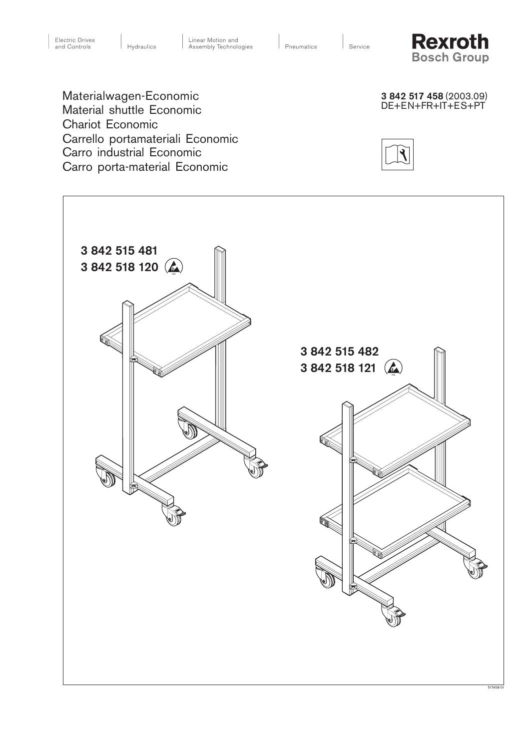

3 842 517 458 (2003.09) DE+EN+FR+IT+ES+PT Materialwagen-Economic Material shuttle Economic Chariot Economic Carrello portamateriali Economic Carro industrial Economic Carro porta-material Economic



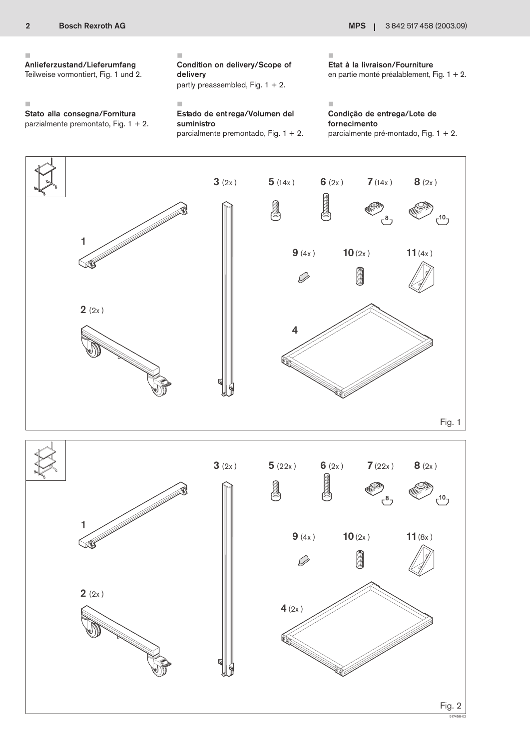### Ì.

# Anlieferzustand/Lieferumfang

Teilweise vormontiert, Fig. 1 und 2.

# п Condition on delivery/Scope of delivery

×

partly preassembled, Fig.  $1 + 2$ .

×

Stato alla consegna/Fornitura parzialmente premontato, Fig. 1 + 2.

## Estado de entrega/Volumen del suministro

parcialmente premontado, Fig. 1 + 2.

Ì. Etat à la livraison/Fourniture en partie monté préalablement, Fig. 1 + 2.

#### Î. Condição de entrega/Lote de fornecimento parcialmente pré-montado, Fig. 1 + 2.

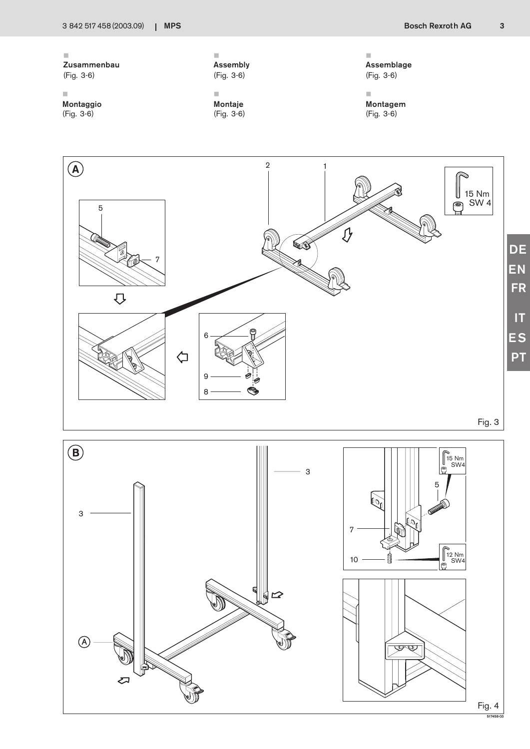517458-03





 $\bar{\phantom{a}}$ Montagem (Fig. 3-6)